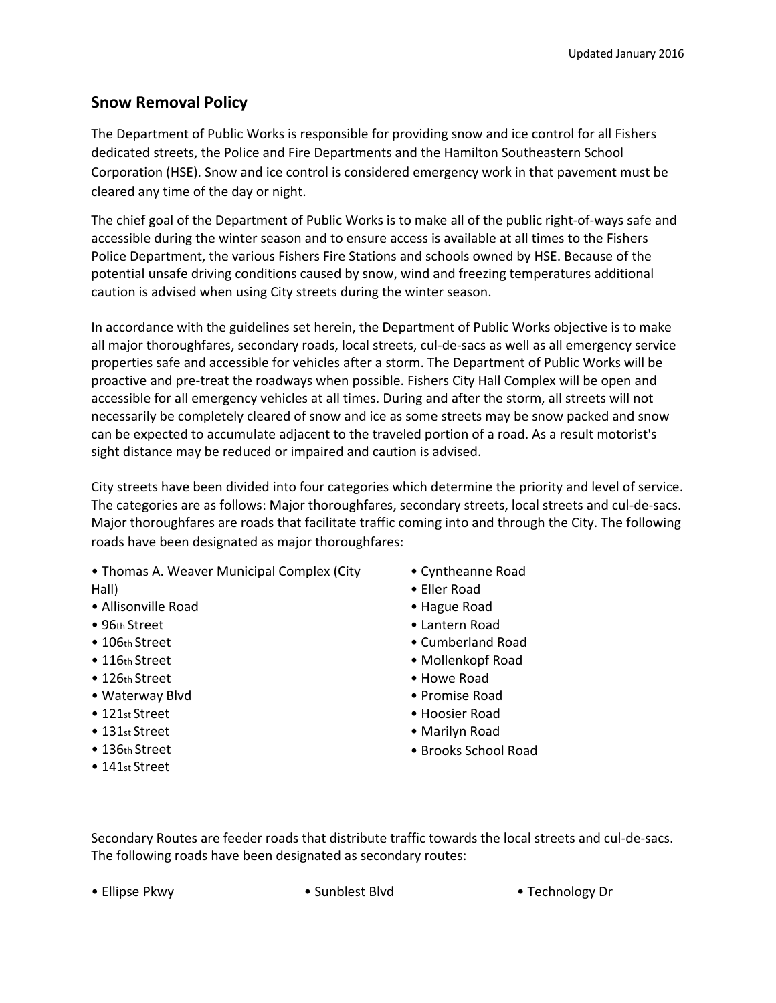## **Snow Removal Policy**

The Department of Public Works is responsible for providing snow and ice control for all Fishers dedicated streets, the Police and Fire Departments and the Hamilton Southeastern School Corporation (HSE). Snow and ice control is considered emergency work in that pavement must be cleared any time of the day or night.

The chief goal of the Department of Public Works is to make all of the public right-of-ways safe and accessible during the winter season and to ensure access is available at all times to the Fishers Police Department, the various Fishers Fire Stations and schools owned by HSE. Because of the potential unsafe driving conditions caused by snow, wind and freezing temperatures additional caution is advised when using City streets during the winter season.

In accordance with the guidelines set herein, the Department of Public Works objective is to make all major thoroughfares, secondary roads, local streets, cul-de-sacs as well as all emergency service properties safe and accessible for vehicles after a storm. The Department of Public Works will be proactive and pre-treat the roadways when possible. Fishers City Hall Complex will be open and accessible for all emergency vehicles at all times. During and after the storm, all streets will not necessarily be completely cleared of snow and ice as some streets may be snow packed and snow can be expected to accumulate adjacent to the traveled portion of a road. As a result motorist's sight distance may be reduced or impaired and caution is advised.

City streets have been divided into four categories which determine the priority and level of service. The categories are as follows: Major thoroughfares, secondary streets, local streets and cul-de-sacs. Major thoroughfares are roads that facilitate traffic coming into and through the City. The following roads have been designated as major thoroughfares:

- Thomas A. Weaver Municipal Complex (City Hall)
- Allisonville Road
- 96th Street
- 106th Street
- 116th Street
- 126th Street
- Waterway Blvd
- 121<sub>st</sub> Street
- 131st Street
- 136th Street
- 141<sub>st</sub> Street
- Cyntheanne Road
- Eller Road
- Hague Road
- Lantern Road
- Cumberland Road
- Mollenkopf Road
- Howe Road
- Promise Road
- Hoosier Road
- Marilyn Road
- Brooks School Road

Secondary Routes are feeder roads that distribute traffic towards the local streets and cul-de-sacs. The following roads have been designated as secondary routes:

• Ellipse Pkwy • Sunblest Blvd • Technology Dr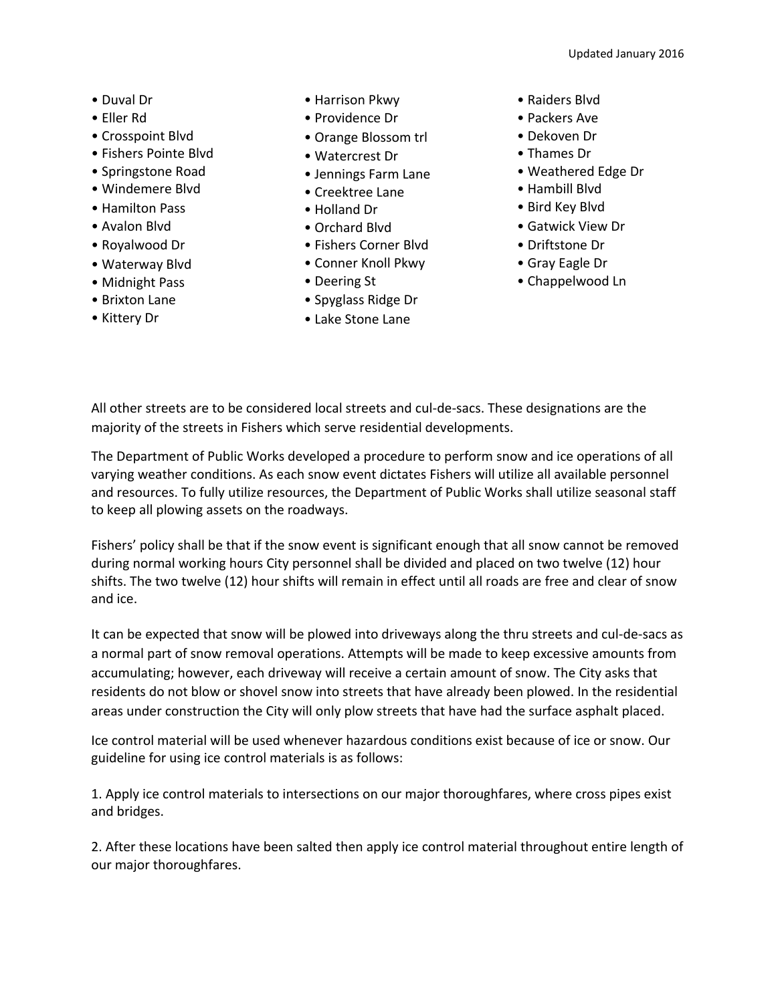- Duval Dr
- Eller Rd
- Crosspoint Blvd
- Fishers Pointe Blvd
- Springstone Road
- Windemere Blvd
- Hamilton Pass
- Avalon Blvd
- Royalwood Dr
- Waterway Blvd
- Midnight Pass
- Brixton Lane
- Kittery Dr
- Harrison Pkwy
- Providence Dr
- Orange Blossom trl
- Watercrest Dr
- Jennings Farm Lane
- Creektree Lane
- Holland Dr
- Orchard Blvd
- Fishers Corner Blvd
- Conner Knoll Pkwy
- Deering St
- Spyglass Ridge Dr
- Lake Stone Lane
- Raiders Blvd
- Packers Ave
- Dekoven Dr
- Thames Dr
- Weathered Edge Dr
- Hambill Blvd
- Bird Key Blvd
- Gatwick View Dr
- Driftstone Dr
- Gray Eagle Dr
- Chappelwood Ln

All other streets are to be considered local streets and cul-de-sacs. These designations are the majority of the streets in Fishers which serve residential developments.

The Department of Public Works developed a procedure to perform snow and ice operations of all varying weather conditions. As each snow event dictates Fishers will utilize all available personnel and resources. To fully utilize resources, the Department of Public Works shall utilize seasonal staff to keep all plowing assets on the roadways.

Fishers' policy shall be that if the snow event is significant enough that all snow cannot be removed during normal working hours City personnel shall be divided and placed on two twelve (12) hour shifts. The two twelve (12) hour shifts will remain in effect until all roads are free and clear of snow and ice.

It can be expected that snow will be plowed into driveways along the thru streets and cul-de-sacs as a normal part of snow removal operations. Attempts will be made to keep excessive amounts from accumulating; however, each driveway will receive a certain amount of snow. The City asks that residents do not blow or shovel snow into streets that have already been plowed. In the residential areas under construction the City will only plow streets that have had the surface asphalt placed.

Ice control material will be used whenever hazardous conditions exist because of ice or snow. Our guideline for using ice control materials is as follows:

1. Apply ice control materials to intersections on our major thoroughfares, where cross pipes exist and bridges.

2. After these locations have been salted then apply ice control material throughout entire length of our major thoroughfares.